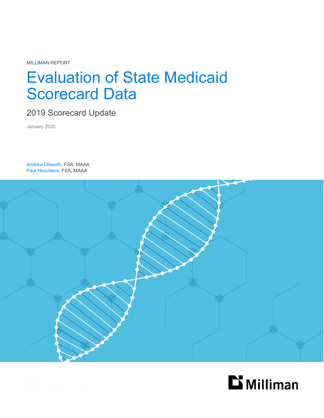MILLIMAN REPORT

# Evaluation of State Medicaid Scorecard Data

2019 Scorecard Update

January 2020

Andrew Dilworth, FSA, MAAA Paul Houchens, FSA, MAAA



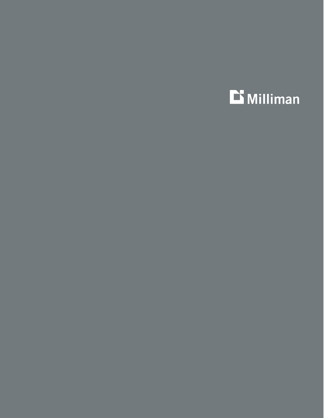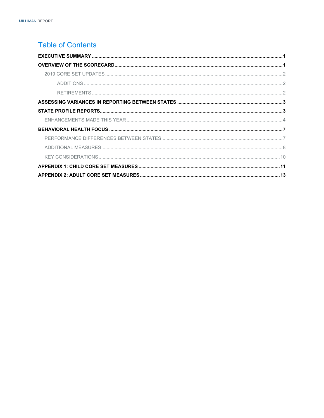### **Table of Contents**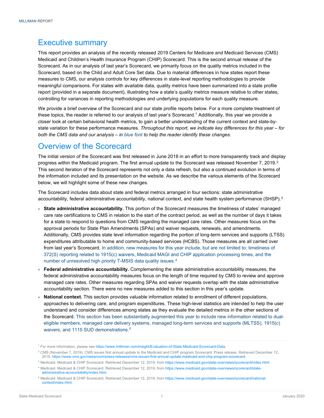### <span id="page-3-0"></span>Executive summary

This report provides an analysis of the recently released 2019 Centers for Medicare and Medicaid Services (CMS) Medicaid and Children's Health Insurance Program (CHIP) Scorecard. This is the second annual release of the Scorecard. As in our analysis of last year's Scorecard, we primarily focus on the quality metrics included in the Scorecard, based on the Child and Adult Core Set data. Due to material differences in how states report these measures to CMS, our analysis controls for key differences in state-level reporting methodologies to provide meaningful comparisons. For states with available data, quality metrics have been summarized into a state profile report (provided in a separate document), illustrating how a state's quality metrics measure relative to other states, controlling for variances in reporting methodologies and underlying populations for each quality measure.

We provide a brief overview of the Scorecard and our state profile reports below. For a more complete treatment of these topics, the reader is referred to our analysis of last year's Scorecard. [1](#page-3-2) Additionally, this year we provide a closer look at certain behavioral health metrics, to gain a better understanding of the current context and state-bystate variation for these performance measures. *Throughout this report, we indicate key differences for this year – for both the CMS data and our analysis – in blue font to help the reader identify these changes.*

## <span id="page-3-1"></span>Overview of the Scorecard

The initial version of the Scorecard was first released in June 2018 in an effort to more transparently track and display progress within the Medicaid program. The first annual update to the Scorecard was released November 7, [2](#page-3-3)019.<sup>2</sup> This second iteration of the Scorecard represents not only a data refresh, but also a continued evolution in terms of the information included and its presentation on the website. As we describe the various elements of the Scorecard below, we will highlight some of these new changes.

The Scorecard includes data about state and federal metrics arranged in four sections: state administrative accountability, federal administrative accountability, national context, and state health system performance (SHSP). $^3$  $^3$ 

- **State administrative accountability.** This portion of the Scorecard measures the timeliness of states' managed care rate certifications to CMS in relation to the start of the contract period, as well as the number of days it takes for a state to respond to questions from CMS regarding the managed care rates. Other measures focus on the approval periods for State Plan Amendments (SPAs) and waiver requests, renewals, and amendments. Additionally, CMS provides state level information regarding the portion of long-term services and supports (LTSS) expenditures attributable to home and community-based services (HCBS). Those measures are all carried over from last year's Scorecard. In addition, new measures for this year include, but are not limited to: timeliness of 372(S) reporting related to 1915(c) waivers, Medicaid MAGI and CHIP application processing times, and the number of unresolved high priority T-MSIS data quality issues.[4](#page-3-5)
- **Federal administrative accountability.** Complementing the state administrative accountability measures, the federal administrative accountability measures focus on the length of time required by CMS to review and approve managed care rates. Other measures regarding SPAs and waiver requests overlap with the state administrative accountability section. There were no new measures added to this section in this year's update.
- **National context.** This section provides valuable information related to enrollment of different populations, approaches to delivering care, and program expenditures. These high-level statistics are intended to help the user understand and consider differences among states as they evaluate the detailed metrics in the other sections of the Scorecard. This section has been substantially augmented this year to include new information related to dualeligible members, managed care delivery systems, managed long-term services and supports (MLTSS), 1915(c) waivers, and 111[5](#page-3-6) SUD demonstrations.<sup>5</sup>

<span id="page-3-2"></span><sup>1</sup> For more information, please se[e https://www.milliman.com/insight/Evaluation-of-State-Medicaid-Scorecard-Data.](https://www.milliman.com/insight/Evaluation-of-State-Medicaid-Scorecard-Data)

<span id="page-3-3"></span><sup>&</sup>lt;sup>2</sup> CMS (November 7, 2019). CMS issues first annual update to the Medicaid and CHIP program Scorecard. Press release. Retrieved December 12, 2019[. https://www.cms.gov/newsroom/press-releases/cms-issues-first-annual-update-medicaid-and-chip-program-scorecard.](https://www.cms.gov/newsroom/press-releases/cms-issues-first-annual-update-medicaid-and-chip-program-scorecard)

<span id="page-3-4"></span><sup>3</sup> Medicaid. Medicaid & CHIP Scorecard. Retrieved December 12, 2019, fro[m https://www.medicaid.gov/state-overviews/scorecard/index.html.](https://www.medicaid.gov/state-overviews/scorecard/index.html)

<span id="page-3-5"></span><sup>4</sup> Medicaid. Medicaid & CHIP Scorecard. Retrieved December 12, 2019, fro[m https://www.medicaid.gov/state-overviews/scorecard/state](https://www.medicaid.gov/state-overviews/scorecard/state-administrative-accountability/index.html)[administrative-accountability/index.html.](https://www.medicaid.gov/state-overviews/scorecard/state-administrative-accountability/index.html)

<span id="page-3-6"></span><sup>5</sup> Medicaid. Medicaid & CHIP Scorecard. Retrieved December 12, 2019, fro[m https://www.medicaid.gov/state-overviews/scorecard/national](https://www.medicaid.gov/state-overviews/scorecard/national-context/index.html)[context/index.html.](https://www.medicaid.gov/state-overviews/scorecard/national-context/index.html)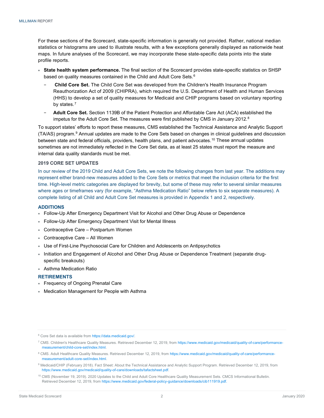For these sections of the Scorecard, state-specific information is generally not provided. Rather, national median statistics or histograms are used to illustrate results, with a few exceptions generally displayed as nationwide heat maps. In future analyses of the Scorecard, we may incorporate these state-specific data points into the state profile reports.

- **State health system performance.** The final section of the Scorecard provides state-specific statistics on SHSP based on quality measures contained in the Child and Adult Core Sets.<sup>[6](#page-4-3)</sup>
	- − **Child Core Set.** The Child Core Set was developed from the Children's Health Insurance Program Reauthorization Act of 2009 (CHIPRA), which required the U.S. Department of Health and Human Services (HHS) to develop a set of quality measures for Medicaid and CHIP programs based on voluntary reporting by states.<sup>[7](#page-4-4)</sup>
	- − **Adult Core Set.** Section 1139B of the Patient Protection and Affordable Care Act (ACA) established the impetus for the Adult Core Set. The measures were first published by CMS in January 2012. $8$

To support states' efforts to report these measures, CMS established the Technical Assistance and Analytic Support (TA/AS) program.[9](#page-4-6) Annual updates are made to the Core Sets based on changes in clinical guidelines and discussion between state and federal officials, providers, health plans, and patient advocates.<sup>[10](#page-4-7)</sup> These annual updates sometimes are not immediately reflected in the Core Set data, as at least 25 states must report the measure and internal data quality standards must be met.

#### <span id="page-4-0"></span>**2019 CORE SET UPDATES**

In our review of the 2019 Child and Adult Core Sets, we note the following changes from last year. The additions may represent either brand-new measures added to the Core Sets or metrics that meet the inclusion criteria for the first time. High-level metric categories are displayed for brevity, but some of these may refer to several similar measures where ages or timeframes vary (for example, "Asthma Medication Ratio" below refers to six separate measures). A complete listing of all Child and Adult Core Set measures is provided in Appendix 1 and 2, respectively.

#### <span id="page-4-1"></span>**ADDITIONS**

- Follow-Up After Emergency Department Visit for Alcohol and Other Drug Abuse or Dependence
- Follow-Up After Emergency Department Visit for Mental Illness
- Contraceptive Care Postpartum Women
- Contraceptive Care All Women
- Use of First-Line Psychosocial Care for Children and Adolescents on Antipsychotics
- Initiation and Engagement of Alcohol and Other Drug Abuse or Dependence Treatment (separate drugspecific breakouts)
- Asthma Medication Ratio

#### <span id="page-4-2"></span>**RETIREMENTS**

- **Frequency of Ongoing Prenatal Care**
- Medication Management for People with Asthma

<span id="page-4-3"></span><sup>&</sup>lt;sup>6</sup> Core Set data is available from [https://data.medicaid.gov/.](https://data.medicaid.gov/)

<span id="page-4-4"></span><sup>&</sup>lt;sup>7</sup> CMS. Children's Healthcare Quality Measures. Retrieved December 12, 2019, fro[m https://www.medicaid.gov/medicaid/quality-of-care/performance](https://www.medicaid.gov/medicaid/quality-of-care/performance-measurement/child-core-set/index.html)[measurement/child-core-set/index.html.](https://www.medicaid.gov/medicaid/quality-of-care/performance-measurement/child-core-set/index.html)

<span id="page-4-5"></span><sup>8</sup> CMS. Adult Healthcare Quality Measures. Retrieved December 12, 2019, fro[m https://www.medicaid.gov/medicaid/quality-of-care/performance](https://www.medicaid.gov/medicaid/quality-of-care/performance-measurement/adult-core-set/index.html)[measurement/adult-core-set/index.html.](https://www.medicaid.gov/medicaid/quality-of-care/performance-measurement/adult-core-set/index.html)

<span id="page-4-6"></span><sup>9</sup> Medicaid/CHIP (February 2018). Fact Sheet: About the Technical Assistance and Analytic Support Program. Retrieved December 12, 2019, from [https://www.medicaid.gov/medicaid/quality-of-care/downloads/tafactsheet.pdf.](https://www.medicaid.gov/medicaid/quality-of-care/downloads/tafactsheet.pdf)

<span id="page-4-7"></span><sup>10</sup> CMS (November 19, 2019). 2020 Updates to the Child and Adult Core Healthcare Quality Measurement Sets. CMCS Informational Bulletin. Retrieved December 12, 2019, fro[m https://www.medicaid.gov/federal-policy-guidance/downloads/cib111919.pdf.](https://www.medicaid.gov/federal-policy-guidance/downloads/cib111919.pdf)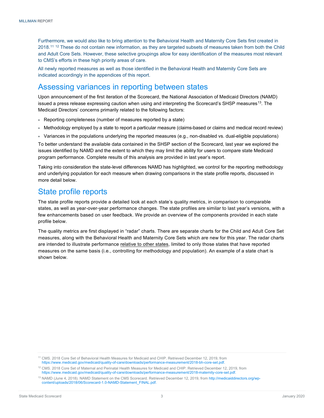Furthermore, we would also like to bring attention to the Behavioral Health and Maternity Core Sets first created in 2018.<sup>[11](#page-5-2) [12](#page-5-3)</sup> These do not contain new information, as they are targeted subsets of measures taken from both the Child and Adult Core Sets. However, these selective groupings allow for easy identification of the measures most relevant to CMS's efforts in these high priority areas of care.

All newly reported measures as well as those identified in the Behavioral Health and Maternity Core Sets are indicated accordingly in the appendices of this report.

### <span id="page-5-0"></span>Assessing variances in reporting between states

Upon announcement of the first iteration of the Scorecard, the National Association of Medicaid Directors (NAMD) issued a press release expressing caution when using and interpreting the Scorecard's SHSP measures<sup>13</sup>. The Medicaid Directors' concerns primarily related to the following factors:

- Reporting completeness (number of measures reported by a state)
- Methodology employed by a state to report a particular measure (claims-based or claims and medical record review)
- Variances in the populations underlying the reported measures (e.g., non-disabled vs. dual-eligible populations)

To better understand the available data contained in the SHSP section of the Scorecard, last year we explored the issues identified by NAMD and the extent to which they may limit the ability for users to compare state Medicaid program performance. Complete results of this analysis are provided in last year's report.

Taking into consideration the state-level differences NAMD has highlighted, we control for the reporting methodology and underlying population for each measure when drawing comparisons in the state profile reports, discussed in more detail below.

## <span id="page-5-1"></span>State profile reports

The state profile reports provide a detailed look at each state's quality metrics, in comparison to comparable states, as well as year-over-year performance changes. The state profiles are similar to last year's versions, with a few enhancements based on user feedback. We provide an overview of the components provided in each state profile below.

The quality metrics are first displayed in "radar" charts. There are separate charts for the Child and Adult Core Set measures, along with the Behavioral Health and Maternity Core Sets which are new for this year. The radar charts are intended to illustrate performance relative to other states, limited to only those states that have reported measures on the same basis (i.e., controlling for methodology and population). An example of a state chart is shown below.

<span id="page-5-2"></span><sup>11</sup> CMS. 2018 Core Set of Behavioral Health Measures for Medicaid and CHIP. Retrieved December 12, 2019, from [https://www.medicaid.gov/medicaid/quality-of-care/downloads/performance-measurement/2018-bh-core-set.pdf.](https://www.medicaid.gov/medicaid/quality-of-care/downloads/performance-measurement/2018-bh-core-set.pdf)

<span id="page-5-3"></span><sup>12</sup> CMS. 2018 Core Set of Maternal and Perinatal Health Measures for Medicaid and CHIP. Retrieved December 12, 2019, from [https://www.medicaid.gov/medicaid/quality-of-care/downloads/performance-measurement/2018-maternity-core-set.pdf.](https://www.medicaid.gov/medicaid/quality-of-care/downloads/performance-measurement/2018-maternity-core-set.pdf)

<span id="page-5-4"></span><sup>13</sup> NAMD (June 4, 2018). NAMD Statement on the CMS Scorecard. Retrieved December 12, 2019, from [http://medicaiddirectors.org/wp](http://medicaiddirectors.org/wp-content/uploads/2018/06/Scorecard-1.0-NAMD-Statement_FINAL.pdf)[content/uploads/2018/06/Scorecard-1.0-NAMD-Statement\\_FINAL.pdf.](http://medicaiddirectors.org/wp-content/uploads/2018/06/Scorecard-1.0-NAMD-Statement_FINAL.pdf)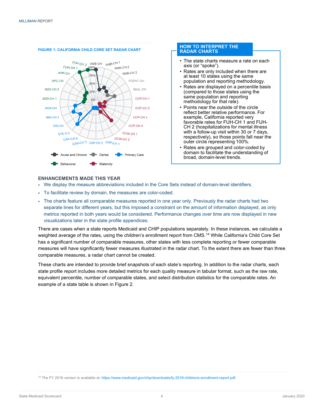

#### **HOW TO INTERPRET THE RADAR CHARTS**

- The state charts measure a rate on each axis (or "spoke").
- Rates are only included when there are at least 10 states using the same population and reporting methodology.
- Rates are displayed on a percentile basis (compared to those states using the same population and reporting methodology for that rate).
- Points near the outside of the circle reflect better relative performance. For example, California reported very favorable rates for FUH-CH 1 and FUH-CH 2 (hospitalizations for mental illness with a follow-up visit within 30 or 7 days, respectively), so those points fall near the outer circle representing 100%.
- Rates are grouped and color-coded by domain to facilitate the understanding of broad, domain-level trends.

#### <span id="page-6-0"></span>**ENHANCEMENTS MADE THIS YEAR**

- We display the measure abbreviations included in the Core Sets instead of domain-level identifiers.
- To facilitate review by domain, the measures are color-coded.
- The charts feature all comparable measures reported in one year only. Previously the radar charts had two separate lines for different years, but this imposed a constraint on the amount of information displayed, as only metrics reported in both years would be considered. Performance changes over time are now displayed in new visualizations later in the state profile appendices.

There are cases when a state reports Medicaid and CHIP populations separately. In these instances, we calculate a weighted average of the rates, using the children's enrollment report from CMS.[14](#page-6-1) While California's Child Core Set has a significant number of comparable measures, other states with less complete reporting or fewer comparable measures will have significantly fewer measures illustrated in the radar chart. To the extent there are fewer than three comparable measures, a radar chart cannot be created.

These charts are intended to provide brief snapshots of each state's reporting. In addition to the radar charts, each state profile report includes more detailed metrics for each quality measure in tabular format, such as the raw rate, equivalent percentile, number of comparable states, and select distribution statistics for the comparable rates. An example of a state table is shown in Figure 2.

<span id="page-6-1"></span><sup>&</sup>lt;sup>14</sup> The FY 2018 version is available at[: https://www.medicaid.gov/chip/downloads/fy-2018-childrens-enrollment-report.pdf.](https://www.medicaid.gov/chip/downloads/fy-2018-childrens-enrollment-report.pdf)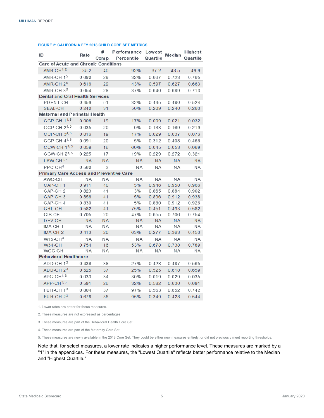#### **FIGURE 2: CALIFORNIA FFY 2018 CHILD CORE SET METRICS**

| ID                                             | Rate      | #<br>Com p. | Performance Lowest<br>Percentile | Quartile  | Median    | <b>Highest</b><br>Quartile |  |
|------------------------------------------------|-----------|-------------|----------------------------------|-----------|-----------|----------------------------|--|
| Care of Acute and Chronic Conditions           |           |             |                                  |           |           |                            |  |
| $AMB-CH1,2$                                    | 35.2      | 40          | 92%                              | 37.2      | 43.5      | 49.9                       |  |
| AMR-CH 1 <sup>5</sup>                          | 0.680     | 29          | 32%                              | 0.667     | 0.723     | 0.765                      |  |
| AMR-CH $2^5$                                   | 0.616     | 29          | 43%                              | 0.597     | 0.627     | 0.663                      |  |
| $AMR-CH35$                                     | 0.654     | 28          | 37%                              | 0.640     | 0.689     | 0.713                      |  |
| <b>Dental and Oral Health Services</b>         |           |             |                                  |           |           |                            |  |
| PDENT-CH                                       | 0.459     | 51          | 32%                              | 0.445     | 0.480     | 0.524                      |  |
| <b>SEAL-CH</b>                                 | 0.240     | 31          | 50%                              | 0.209     | 0.240     | 0.263                      |  |
| <b>Maternal and Perinatal Health</b>           |           |             |                                  |           |           |                            |  |
| <b>CCP-CH 14,5</b>                             | 0.006     | 19          | 17%                              | 0.009     | 0.021     | 0.032                      |  |
| CCP-CH $2^{4,5}$                               | 0.035     | 20          | 0%                               | 0.133     | 0.169     | 0.219                      |  |
| CCP-CH 34,5                                    | 0.016     | 19          | 17%                              | 0.029     | 0.037     | 0.076                      |  |
| CCP-CH $4^{4,5}$                               | 0.091     | 20          | 5%                               | 0.312     | 0.408     | 0.466                      |  |
| <b>CCW-CH 14, 5</b>                            | 0.058     | 16          | 60%                              | 0.045     | 0.053     | 0.069                      |  |
| CCW-CH 24.5                                    | 0.225     | 17          | 19%                              | 0.229     | 0.272     | 0.321                      |  |
| $L$ BW-CH $1, 4$                               | <b>NA</b> | <b>NA</b>   | <b>NA</b>                        | <b>NA</b> | <b>NA</b> | <b>NA</b>                  |  |
| $PPC-CH4$                                      | 0.560     | 3           | ΝA                               | ΝA        | ΝA        | ΝA                         |  |
| <b>Primary Care Access and Preventive Care</b> |           |             |                                  |           |           |                            |  |
| AWC-CH                                         | <b>NA</b> | ΝA          | ΝA                               | ΝA        | ΝA        | <b>NA</b>                  |  |
| CAP-CH <sub>1</sub>                            | 0.911     | 40          | 5%                               | 0.946     | 0.958     | 0.966                      |  |
| CAP-CH <sub>2</sub>                            | 0.823     | 41          | 3%                               | 0.865     | 0.884     | 0.902                      |  |
| CAP-CH <sub>3</sub>                            | 0.856     | 41          | 5%                               | 0.896     | 0.912     | 0.938                      |  |
| CAP-CH 4                                       | 0.830     | 41          | 5%                               | 0.880     | 0.912     | 0.926                      |  |
| CHL-CH                                         | 0.582     | 41          | 75%                              | 0.451     | 0.493     | 0.582                      |  |
| CIS-CH                                         | 0.705     | 20          | 47%                              | 0.655     | 0.706     | 0.754                      |  |
| DEV-CH                                         | <b>NA</b> | <b>NA</b>   | <b>NA</b>                        | <b>NA</b> | <b>NA</b> | <b>NA</b>                  |  |
| IMA-CH 1                                       | NA        | ΝA          | ΝA                               | ΝA        | ΝA        | <b>NA</b>                  |  |
| IMA-CH <sub>2</sub>                            | 0.413     | 20          | 63%                              | 0.277     | 0.363     | 0.453                      |  |
| $W15-CH4$                                      | <b>NA</b> | ΝA          | ΝA                               | <b>NA</b> | ΝA        | ΝA                         |  |
| <b>W34-CH</b>                                  | 0.754     | 16          | 53%                              | 0.678     | 0.738     | 0.789                      |  |
| WCC-CH                                         | ΝA        | ΝA          | ΝA                               | ΝA        | ΝA        | ΝA                         |  |
| <b>Behavioral Healthcare</b>                   |           |             |                                  |           |           |                            |  |
| ADD-CH 1 <sup>3</sup>                          | 0.436     | 38          | 27%                              | 0.428     | 0.487     | 0.565                      |  |
| $ADD-CH23$                                     | 0.525     | 37          | 25%                              | 0.525     | 0.618     | 0.659                      |  |
| $APC$ -CH $^{1,3}$                             | 0.033     | 34          | 30%                              | 0.019     | 0.029     | 0.035                      |  |
| $APP-CH3, 5$                                   | 0.591     | 26          | 32%                              | 0.582     | 0.630     | 0.691                      |  |
| FUH-CH $1^3$                                   | 0.804     | 37          | 97%                              | 0.563     | 0.652     | 0.742                      |  |
| $FUH-CH 23$                                    | 0.678     | 38          | 95%                              | 0.349     | 0.428     | 0.544                      |  |

1. Lower rates are better for these measures.

2. These measures are not expressed as percentages.

3. These measures are part of the Behavioral Health Core Set.

4. These measures are part of the Maternity Core Set.

5. These measures are newly available in the 2018 Core Set. They could be either new measures entirely, or did not previously meet reporting thresholds.

Note that, for select measures, a lower rate indicates a higher performance level. These measures are marked by a "1" in the appendices. For these measures, the "Lowest Quartile" reflects better performance relative to the Median and "Highest Quartile."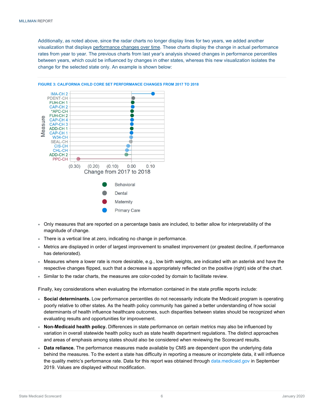Additionally, as noted above, since the radar charts no longer display lines for two years, we added another visualization that displays performance changes over time. These charts display the change in actual performance rates from year to year. The previous charts from last year's analysis showed changes in performance percentiles between years, which could be influenced by changes in other states, whereas this new visualization isolates the change for the selected state only. An example is shown below:



#### **FIGURE 3: CALIFORNIA CHILD CORE SET PERFORMANCE CHANGES FROM 2017 TO 2018**

- Only measures that are reported on a percentage basis are included, to better allow for interpretability of the magnitude of change.
- There is a vertical line at zero, indicating no change in performance.
- Metrics are displayed in order of largest improvement to smallest improvement (or greatest decline, if performance has deteriorated).
- Measures where a lower rate is more desirable, e.g., low birth weights, are indicated with an asterisk and have the respective changes flipped, such that a decrease is appropriately reflected on the positive (right) side of the chart.
- Similar to the radar charts, the measures are color-coded by domain to facilitate review.

Finally, key considerations when evaluating the information contained in the state profile reports include:

- **Social determinants.** Low performance percentiles do not necessarily indicate the Medicaid program is operating poorly relative to other states. As the health policy community has gained a better understanding of how social determinants of health influence healthcare outcomes, such disparities between states should be recognized when evaluating results and opportunities for improvement.
- **Non-Medicaid health policy.** Differences in state performance on certain metrics may also be influenced by variation in overall statewide health policy such as state health department regulations. The distinct approaches and areas of emphasis among states should also be considered when reviewing the Scorecard results.
- **Data reliance.** The performance measures made available by CMS are dependent upon the underlying data behind the measures. To the extent a state has difficulty in reporting a measure or incomplete data, it will influence the quality metric's performance rate. Data for this report was obtained through [data.medicaid.gov](https://data.medicaid.gov/) in September 2019. Values are displayed without modification.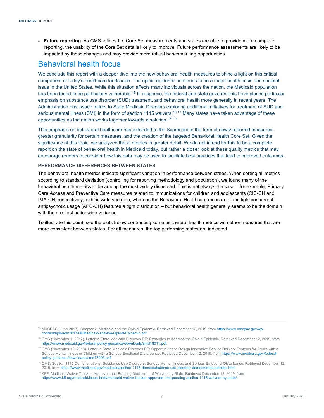**Future reporting.** As CMS refines the Core Set measurements and states are able to provide more complete reporting, the usability of the Core Set data is likely to improve. Future performance assessments are likely to be impacted by these changes and may provide more robust benchmarking opportunities.

# <span id="page-9-0"></span>Behavioral health focus

We conclude this report with a deeper dive into the new behavioral health measures to shine a light on this critical component of today's healthcare landscape. The opioid epidemic continues to be a major health crisis and societal issue in the United States. While this situation affects many individuals across the nation, the Medicaid population has been found to be particularly vulnerable.<sup>[15](#page-9-2)</sup> In response, the federal and state governments have placed particular emphasis on substance use disorder (SUD) treatment, and behavioral health more generally in recent years. The Administration has issued letters to State Medicaid Directors exploring additional initiatives for treatment of SUD and serious mental illness (SMI) in the form of section 1115 waivers.<sup>[16](#page-9-3) [17](#page-9-4)</sup> Many states have taken advantage of these opportunities as the nation works together towards a solution.[18](#page-9-5) [19](#page-9-6)

This emphasis on behavioral healthcare has extended to the Scorecard in the form of newly reported measures, greater granularity for certain measures, and the creation of the targeted Behavioral Health Core Set. Given the significance of this topic, we analyzed these metrics in greater detail. We do not intend for this to be a complete report on the state of behavioral health in Medicaid today, but rather a closer look at these quality metrics that may encourage readers to consider how this data may be used to facilitate best practices that lead to improved outcomes.

#### <span id="page-9-1"></span>**PERFORMANCE DIFFERENCES BETWEEN STATES**

The behavioral health metrics indicate significant variation in performance between states. When sorting all metrics according to standard deviation (controlling for reporting methodology and population), we found many of the behavioral health metrics to be among the most widely dispersed. This is not always the case – for example, Primary Care Access and Preventive Care measures related to immunizations for children and adolescents (CIS-CH and IMA-CH, respectively) exhibit wide variation, whereas the Behavioral Healthcare measure of multiple concurrent antipsychotic usage (APC-CH) features a tight distribution – but behavioral health generally seems to be the domain with the greatest nationwide variance.

To illustrate this point, see the plots below contrasting some behavioral health metrics with other measures that are more consistent between states. For all measures, the top performing states are indicated.

<span id="page-9-2"></span><sup>15</sup> MACPAC (June 2017). Chapter 2: Medicaid and the Opioid Epidemic. Retrieved December 12, 2019, from [https://www.macpac.gov/wp](https://www.macpac.gov/wp-content/uploads/2017/06/Medicaid-and-the-Opioid-Epidemic.pdf)[content/uploads/2017/06/Medicaid-and-the-Opioid-Epidemic.pdf.](https://www.macpac.gov/wp-content/uploads/2017/06/Medicaid-and-the-Opioid-Epidemic.pdf)

<span id="page-9-3"></span><sup>&</sup>lt;sup>16</sup> CMS (November 1, 2017). Letter to State Medicaid Directors RE: Strategies to Address the Opioid Epidemic. Retrieved December 12, 2019, from [https://www.medicaid.gov/federal-policy-guidance/downloads/smd18011.pdf.](https://www.medicaid.gov/federal-policy-guidance/downloads/smd18011.pdf)

<span id="page-9-4"></span><sup>&</sup>lt;sup>17</sup> CMS (November 13, 2018). Letter to State Medicaid Directors RE: Opportunities to Design Innovative Service Delivery Systems for Adults with a Serious Mental Illness or Children with a Serious Emotional Disturbance. Retrieved December 12, 2019, fro[m https://www.medicaid.gov/federal](https://www.medicaid.gov/federal-policy-guidance/downloads/smd17003.pdf)[policy-guidance/downloads/smd17003.pdf.](https://www.medicaid.gov/federal-policy-guidance/downloads/smd17003.pdf)

<span id="page-9-5"></span><sup>&</sup>lt;sup>18</sup> CMS. Section 1115 Demonstrations: Substance Use Disorders, Serious Mental Illness, and Serious Emotional Disturbance. Retrieved December 12, 2019, fro[m https://www.medicaid.gov/medicaid/section-1115-demo/substance-use-disorder-demonstrations/index.html.](https://www.medicaid.gov/medicaid/section-1115-demo/substance-use-disorder-demonstrations/index.html)

<span id="page-9-6"></span><sup>19</sup> KFF. Medicaid Waiver Tracker: Approved and Pending Section 1115 Waivers by State. Retrieved December 12, 2019, from [https://www.kff.org/medicaid/issue-brief/medicaid-waiver-tracker-approved-and-pending-section-1115-waivers-by-state/.](https://www.kff.org/medicaid/issue-brief/medicaid-waiver-tracker-approved-and-pending-section-1115-waivers-by-state/)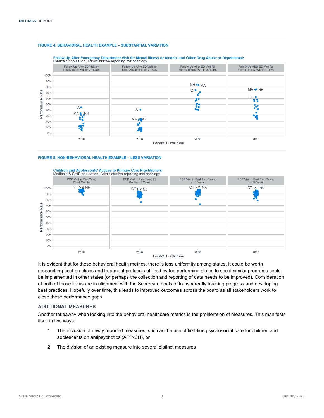#### **FIGURE 4: BEHAVIORAL HEALTH EXAMPLE – SUBSTANTIAL VARIATION**





#### **FIGURE 5: NON-BEHAVIORAL HEALTH EXAMPLE – LESS VARIATION**



It is evident that for these behavioral health metrics, there is less uniformity among states. It could be worth researching best practices and treatment protocols utilized by top performing states to see if similar programs could be implemented in other states (or perhaps the collection and reporting of data needs to be improved). Consideration of both of those items are in alignment with the Scorecard goals of transparently tracking progress and developing best practices. Hopefully over time, this leads to improved outcomes across the board as all stakeholders work to close these performance gaps.

#### <span id="page-10-0"></span>**ADDITIONAL MEASURES**

Another takeaway when looking into the behavioral healthcare metrics is the proliferation of measures. This manifests itself in two ways:

- 1. The inclusion of newly reported measures, such as the use of first-line psychosocial care for children and adolescents on antipsychotics (APP-CH), or
- 2. The division of an existing measure into several distinct measures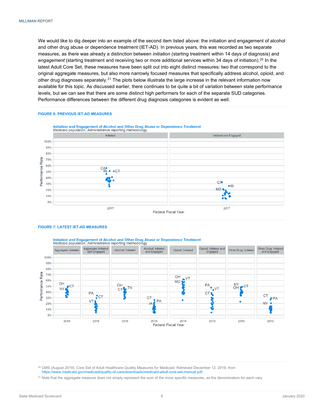We would like to dig deeper into an example of the second item listed above: the initiation and engagement of alcohol and other drug abuse or dependence treatment (IET-AD). In previous years, this was recorded as two separate measures, as there was already a distinction between *initiation* (starting treatment within 14 days of diagnosis) and *engagement* (starting treatment and receiving two or more additional services within 34 days of initiation).[20](#page-11-0) In the latest Adult Core Set, these measures have been split out into eight distinct measures: two that correspond to the original aggregate measures, but also more narrowly focused measures that specifically address alcohol, opioid, and other drug diagnoses separately.<sup>[21](#page-11-1)</sup> The plots below illustrate the large increase in the relevant information now available for this topic. As discussed earlier, there continues to be quite a bit of variation between state performance levels, but we can see that there are some distinct high performers for each of the separate SUD categories. Performance differences between the different drug diagnosis categories is evident as well.

#### **FIGURE 6: PREVIOUS IET-AD MEASURES**



#### **FIGURE 7: LATEST IET-AD MEASURES**

Initiation and Engagement of Alcohol and Other Drug Abuse or Dependence Treatment Medicaid population. Administrative reporting methodology Other Drug: Initiated<br>and Engaged Opioid: Initiated and Aggregate: Initiated Alcohol: Initiated Opioid: Initiated Other Drug: Initiated Alcohol: Initiated Aggregate: Initiated gregate: militar<br>and Engaged and Engaged Engaged 100% 90% 80% Performance Rate 70%  $\overline{O}$ H  $V$ T 60% **MO**  $\cap H$ NY<br>OH PA  $\cap H$ 50% ЮĪ  $-c<sub>T</sub>$ **TN**  $\overline{M}$ **NY** CT<sup>1</sup> 40% PA CT. **CT**  $\cdot$  CT CT 30%  $P A$ VT PA  $\bullet$ **NY** 20% 10%  $0%$ 2018 2018 2018 2018 2018 2018 2018 2018 Federal Fiscal Year

<span id="page-11-0"></span><sup>20</sup> CMS (August 2019). Core Set of Adult Healthcare Quality Measures for Medicaid. Retrieved December 12, 2019, from [https://www.medicaid.gov/medicaid/quality-of-care/downloads/medicaid-adult-core-set-manual.pdf.](https://www.medicaid.gov/medicaid/quality-of-care/downloads/medicaid-adult-core-set-manual.pdf)

<span id="page-11-1"></span><sup>21</sup> Note that the aggregate measure does not simply represent the sum of the more specific measures, as the denominators for each vary.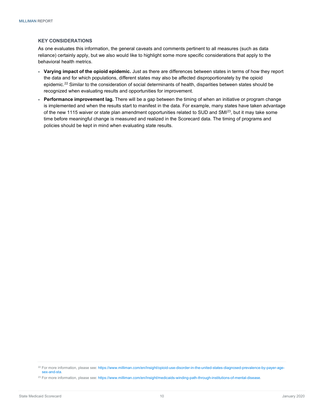#### <span id="page-12-0"></span>**KEY CONSIDERATIONS**

As one evaluates this information, the general caveats and comments pertinent to all measures (such as data reliance) certainly apply, but we also would like to highlight some more specific considerations that apply to the behavioral health metrics.

- **Varying impact of the opioid epidemic.** Just as there are differences between states in terms of how they report the data and for which populations, different states may also be affected disproportionately by the opioid epidemic.<sup>[22](#page-12-1)</sup> Similar to the consideration of social determinants of health, disparities between states should be recognized when evaluating results and opportunities for improvement.
- **Performance improvement lag.** There will be a gap between the timing of when an initiative or program change is implemented and when the results start to manifest in the data. For example, many states have taken advantage of the new 1115 waiver or state plan amendment opportunities related to SUD and SM[I23](#page-12-2), but it may take some time before meaningful change is measured and realized in the Scorecard data. The timing of programs and policies should be kept in mind when evaluating state results.

<span id="page-12-1"></span><sup>22</sup> For more information, please see[: https://www.milliman.com/en/Insight/opioid-use-disorder-in-the-united-states-diagnosed-prevalence-by-payer-age](https://www.milliman.com/en/Insight/opioid-use-disorder-in-the-united-states-diagnosed-prevalence-by-payer-age-sex-and-sta)[sex-and-sta.](https://www.milliman.com/en/Insight/opioid-use-disorder-in-the-united-states-diagnosed-prevalence-by-payer-age-sex-and-sta)

<span id="page-12-2"></span><sup>&</sup>lt;sup>23</sup> For more information, please see[: https://www.milliman.com/en/Insight/medicaids-winding-path-through-institutions-of-mental-disease.](https://www.milliman.com/en/Insight/medicaids-winding-path-through-institutions-of-mental-disease)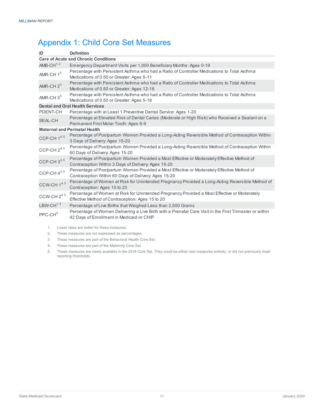# <span id="page-13-0"></span>Appendix 1: Child Core Set Measures

| ID                                          | <b>Definition</b>                                                                                                                                    |  |  |  |
|---------------------------------------------|------------------------------------------------------------------------------------------------------------------------------------------------------|--|--|--|
| <b>Care of Acute and Chronic Conditions</b> |                                                                                                                                                      |  |  |  |
| AMB-CH $^{1, 2}$                            | Emergency Department Visits per 1,000 Beneficiary Months: Ages 0-19                                                                                  |  |  |  |
| AMR-CH $15$                                 | Percentage with Persistent Asthma who had a Ratio of Controller Medications to Total Asthma<br>Medications of 0.50 or Greater: Ages 5-11             |  |  |  |
| AMR-CH $2^5$                                | Percentage with Persistent Asthma who had a Ratio of Controller Medications to Total Asthma<br>Medications of 0.50 or Greater: Ages 12-18            |  |  |  |
| AMR-CH $35$                                 | Percentage with Persistent Asthma who had a Ratio of Controller Medications to Total Asthma<br>Medications of 0.50 or Greater: Ages 5-18             |  |  |  |
|                                             | <b>Dental and Oral Health Services</b>                                                                                                               |  |  |  |
| PDENT-CH                                    | Percentage with at Least 1 Preventive Dental Service: Ages 1-20                                                                                      |  |  |  |
| <b>SEAL-CH</b>                              | Percentage at Elevated Risk of Dental Caries (Moderate or High Risk) who Received a Sealant on a<br>Permanent First Molar Tooth: Ages 6-9            |  |  |  |
| <b>Maternal and Perinatal Health</b>        |                                                                                                                                                      |  |  |  |
| CCP-CH $1^{4,5}$                            | Percentage of Postpartum Women Provided a Long-Acting Reversible Method of Contraception Within<br>3 Days of Delivery: Ages 15-20                    |  |  |  |
| CCP-CH $2^{4, 5}$                           | Percentage of Postpartum Women Provided a Long-Acting Reversible Method of Contraception Within<br>60 Days of Delivery: Ages 15-20                   |  |  |  |
| CCP-CH $3^{4, 5}$                           | Percentage of Postpartum Women Provided a Most Effective or Moderately Effective Method of<br>Contraception Within 3 Days of Delivery: Ages 15-20    |  |  |  |
| CCP-CH $4^{4, 5}$                           | Percentage of Postpartum Women Provided a Most Effective or Moderately Effective Method of<br>Contraception Within 60 Days of Delivery: Ages 15-20   |  |  |  |
| CCW-CH $1^{4,5}$                            | Percentage of Women at Risk for Unintended Pregnancy Provided a Long-Acting Reversible Method of<br>Contraception: Ages 15 to 20                     |  |  |  |
| CCW-CH $2^{4,\,5}$                          | Percentage of Women at Risk for Unintended Pregnancy Provided a Most Effective or Moderately<br>Effective Method of Contraception: Ages 15 to 20     |  |  |  |
| $LBW-CH^{1, 4}$                             | Percentage of Live Births that Weighed Less than 2,500 Grams                                                                                         |  |  |  |
| $PPC-CH4$                                   | Percentage of Women Delivering a Live Birth with a Prenatal Care Visit in the First Trimester or within<br>42 Days of Enrollment in Medicaid or CHIP |  |  |  |

1. Lower rates are better for these measures.

- 2. These measures are not expressed as percentages.
- 3. These measures are part of the Behavioral Health Core Set.
- 4. These measures are part of the Maternity Core Set.
- 5. These measures are newly available in the 2018 Core Set. They could be either new measures entirely, or did not previously meet reporting thresholds.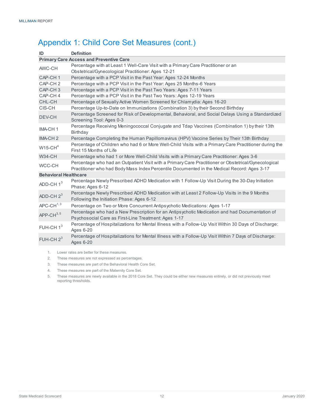# Appendix 1: Child Core Set Measures (cont.)

| ID                           | <b>Definition</b>                                                                                                                                                                                   |  |  |  |
|------------------------------|-----------------------------------------------------------------------------------------------------------------------------------------------------------------------------------------------------|--|--|--|
|                              | <b>Primary Care Access and Preventive Care</b>                                                                                                                                                      |  |  |  |
| AWC-CH                       | Percentage with at Least 1 Well-Care Visit with a Primary Care Practitioner or an                                                                                                                   |  |  |  |
|                              | Obstetrical/Gynecological Practitioner: Ages 12-21                                                                                                                                                  |  |  |  |
| CAP-CH <sub>1</sub>          | Percentage with a PCP Visit in the Past Year: Ages 12-24 Months                                                                                                                                     |  |  |  |
| CAP-CH <sub>2</sub>          | Percentage with a PCP Visit in the Past Year: Ages 25 Months-6 Years                                                                                                                                |  |  |  |
| CAP-CH <sub>3</sub>          | Percentage with a PCP Visit in the Past Two Years: Ages 7-11 Years                                                                                                                                  |  |  |  |
| CAP-CH4                      | Percentage with a PCP Visit in the Past Two Years: Ages 12-19 Years                                                                                                                                 |  |  |  |
| CHL-CH                       | Percentage of Sexually Active Women Screened for Chlamydia: Ages 16-20                                                                                                                              |  |  |  |
| CIS-CH                       | Percentage Up-to-Date on Immunizations (Combination 3) by their Second Birthday                                                                                                                     |  |  |  |
| DEV-CH                       | Percentage Screened for Risk of Developmental, Behavioral, and Social Delays Using a Standardized<br>Screening Tool: Ages 0-3                                                                       |  |  |  |
| IMA-CH <sub>1</sub>          | Percentage Receiving Meningococcal Conjugate and Tdap Vaccines (Combination 1) by their 13th<br>Birthday                                                                                            |  |  |  |
| IMA-CH <sub>2</sub>          | Percentage Completing the Human Papillomavirus (HPV) Vaccine Series by Their 13th Birthday                                                                                                          |  |  |  |
| $W15$ -CH <sup>4</sup>       | Percentage of Children who had 6 or More Well-Child Visits with a Primary Care Practitioner during the<br>First 15 Months of Life                                                                   |  |  |  |
| <b>W34-CH</b>                | Percentage who had 1 or More Well-Child Visits with a Primary Care Practitioner: Ages 3-6                                                                                                           |  |  |  |
| WCC-CH                       | Percentage who had an Outpatient Visit with a Primary Care Practitioner or Obstetrical/Gynecological<br>Practitioner who had Body Mass Index Percentile Documented in the Medical Record: Ages 3-17 |  |  |  |
| <b>Behavioral Healthcare</b> |                                                                                                                                                                                                     |  |  |  |
| ADD-CH $13$                  | Percentage Newly Prescribed ADHD Medication with 1 Follow-Up Visit During the 30-Day Initiation<br>Phase: Ages 6-12                                                                                 |  |  |  |
| ADD-CH $23$                  | Percentage Newly Prescribed ADHD Medication with at Least 2 Follow-Up Visits in the 9 Months<br>Following the Initiation Phase: Ages 6-12                                                           |  |  |  |
| $APC-CH1, 3$                 | Percentage on Two or More Concurrent Antipsychotic Medications: Ages 1-17                                                                                                                           |  |  |  |
| APP-CH $^{3,5}$              | Percentage who had a New Prescription for an Antipsychotic Medication and had Documentation of<br>Psychosocial Care as First-Line Treatment: Ages 1-17                                              |  |  |  |
| FUH-CH $13$                  | Percentage of Hospitalizations for Mental Illness with a Follow-Up Visit Within 30 Days of Discharge:<br><b>Ages 6-20</b>                                                                           |  |  |  |
| FUH-CH $23$                  | Percentage of Hospitalizations for Mental Illness with a Follow-Up Visit Within 7 Days of Discharge:<br><b>Ages 6-20</b>                                                                            |  |  |  |
|                              |                                                                                                                                                                                                     |  |  |  |

1. Lower rates are better for these measures.

2. These measures are not expressed as percentages.

3. These measures are part of the Behavioral Health Core Set.

4. These measures are part of the Maternity Core Set.

5. These measures are newly available in the 2018 Core Set. They could be either new measures entirely, or did not previously meet reporting thresholds.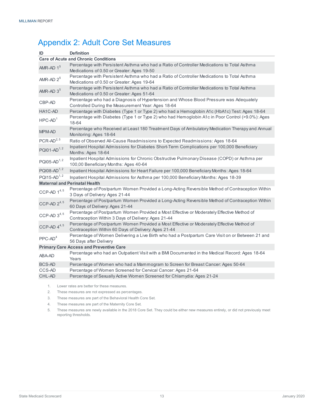# <span id="page-15-0"></span>Appendix 2: Adult Core Set Measures

| ID                                          | <b>Definition</b>                                                                                                                                  |  |  |  |  |
|---------------------------------------------|----------------------------------------------------------------------------------------------------------------------------------------------------|--|--|--|--|
| <b>Care of Acute and Chronic Conditions</b> |                                                                                                                                                    |  |  |  |  |
| $AMR$ -AD $1^5$                             | Percentage with Persistent Asthma who had a Ratio of Controller Medications to Total Asthma                                                        |  |  |  |  |
|                                             | Medications of 0.50 or Greater: Ages 19-50                                                                                                         |  |  |  |  |
| AMR-AD $2^5$                                | Percentage with Persistent Asthma who had a Ratio of Controller Medications to Total Asthma                                                        |  |  |  |  |
|                                             | Medications of 0.50 or Greater: Ages 19-64                                                                                                         |  |  |  |  |
| AMR-AD $3^5$                                | Percentage with Persistent Asthma who had a Ratio of Controller Medications to Total Asthma<br>Medications of 0.50 or Greater: Ages 51-64          |  |  |  |  |
| CBP-AD                                      | Percentage who had a Diagnosis of Hypertension and Whose Blood Pressure was Adequately<br>Controlled During the Measurement Year: Ages 18-64       |  |  |  |  |
| HA1C-AD                                     | Percentage with Diabetes (Type 1 or Type 2) who had a Hemoglobin A1c (HbA1c) Test: Ages 18-64                                                      |  |  |  |  |
| $HPC-AD1$                                   | Percentage with Diabetes (Type 1 or Type 2) who had Hemoglobin A1c in Poor Control (>9.0%): Ages<br>18-64                                          |  |  |  |  |
| <b>MPM-AD</b>                               | Percentage who Received at Least 180 Treatment Days of Ambulatory Medication Therapy and Annual<br>Monitoring: Ages 18-64                          |  |  |  |  |
| $PCR-AD2, 5$                                | Ratio of Observed All-Cause Readmissions to Expected Readmissions: Ages 18-64                                                                      |  |  |  |  |
| PQI01-AD <sup>1,2</sup>                     | Inpatient Hospital Admissions for Diabetes Short-Term Complications per 100,000 Beneficiary<br>Months: Ages 18-64                                  |  |  |  |  |
| PQI05-AD <sup>1, 2</sup>                    | Inpatient Hospital Admissions for Chronic Obstructive Pulmonary Disease (COPD) or Asthma per<br>100,00 Beneficiary Months: Ages 40-64              |  |  |  |  |
| PQI08-AD <sup>1, 2</sup>                    | Inpatient Hospital Admissions for Heart Failure per 100,000 Beneficiary Months: Ages 18-64                                                         |  |  |  |  |
| PQI15-AD <sup>1, 2</sup>                    | Inpatient Hospital Admissions for Asthma per 100,000 Beneficiary Months: Ages 18-39                                                                |  |  |  |  |
| <b>Maternal and Perinatal Health</b>        |                                                                                                                                                    |  |  |  |  |
| CCP-AD $1^{4, 5}$                           | Percentage of Postpartum Women Provided a Long-Acting Reversible Method of Contraception Within<br>3 Days of Delivery: Ages 21-44                  |  |  |  |  |
| CCP-AD $2^{4, 5}$                           | Percentage of Postpartum Women Provided a Long-Acting Reversible Method of Contraception Within<br>60 Days of Delivery: Ages 21-44                 |  |  |  |  |
| CCP-AD $3^{4, 5}$                           | Percentage of Postpartum Women Provided a Most Effective or Moderately Effective Method of<br>Contraception Within 3 Days of Delivery: Ages 21-44  |  |  |  |  |
| CCP-AD $4^{4,5}$                            | Percentage of Postpartum Women Provided a Most Effective or Moderately Effective Method of<br>Contraception Within 60 Days of Delivery: Ages 21-44 |  |  |  |  |
| $PPC-AD4$                                   | Percentage of Women Delivering a Live Birth who had a Postpartum Care Visit on or Between 21 and<br>56 Days after Delivery                         |  |  |  |  |
|                                             | <b>Primary Care Access and Preventive Care</b>                                                                                                     |  |  |  |  |
| ABA-AD                                      | Percentage who had an Outpatient Visit with a BMI Documented in the Medical Record: Ages 18-64<br>Years                                            |  |  |  |  |
| <b>BCS-AD</b>                               | Percentage of Women who had a Mammogram to Screen for Breast Cancer: Ages 50-64                                                                    |  |  |  |  |
| CCS-AD                                      | Percentage of Women Screened for Cervical Cancer: Ages 21-64                                                                                       |  |  |  |  |
| CHL-AD                                      | Percentage of Sexually Active Women Screened for Chlamydia: Ages 21-24                                                                             |  |  |  |  |
|                                             |                                                                                                                                                    |  |  |  |  |

1. Lower rates are better for these measures.

2. These measures are not expressed as percentages.

3. These measures are part of the Behavioral Health Core Set.

4. These measures are part of the Maternity Core Set.

5. These measures are newly available in the 2018 Core Set. They could be either new measures entirely, or did not previously meet reporting thresholds.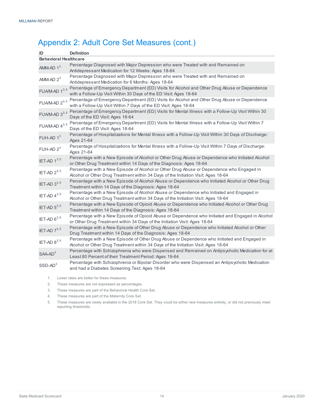# Appendix 2: Adult Core Set Measures (cont.)

| ID                           | <b>Definition</b>                                                                                                                                                                  |
|------------------------------|------------------------------------------------------------------------------------------------------------------------------------------------------------------------------------|
| <b>Behavioral Healthcare</b> |                                                                                                                                                                                    |
| $AMM-AD 13$                  | Percentage Diagnosed with Major Depression who were Treated with and Remained on                                                                                                   |
|                              | Antidepressant Medication for 12 Weeks: Ages 18-64                                                                                                                                 |
| AMM-AD $2^3$                 | Percentage Diagnosed with Major Depression who were Treated with and Remained on                                                                                                   |
|                              | Antidepressant Medication for 6 Months: Ages 18-64                                                                                                                                 |
| FUA/M-AD $1^{3,5}$           | Percentage of Emergency Department (ED) Visits for Alcohol and Other Drug Abuse or Dependence<br>with a Follow-Up Visit Within 30 Days of the ED Visit: Ages 18-64                 |
| FUA/M-AD $2^{3, 5}$          | Percentage of Emergency Department (ED) Visits for Alcohol and Other Drug Abuse or Dependence<br>with a Follow-Up Visit Within 7 Days of the ED Visit: Ages 18-64                  |
| FUA/M-AD $3^{3, 5}$          | Percentage of Emergency Department (ED) Visits for Mental Illness with a Follow-Up Visit Within 30<br>Days of the ED Visit: Ages 18-64                                             |
| FUA/M-AD $4^{3,5}$           | Percentage of Emergency Department (ED) Visits for Mental Illness with a Follow-Up Visit Within 7<br>Days of the ED Visit: Ages 18-64                                              |
| $FUH$ -AD $13$               | Percentage of Hospitalizations for Mental Illness with a Follow-Up Visit Within 30 Days of Discharge:<br>Ages 21-64                                                                |
| FUH-AD $2^3$                 | Percentage of Hospitalizations for Mental Illness with a Follow-Up Visit Within 7 Days of Discharge:<br>Ages 21-64                                                                 |
| IET-AD $1^{3,5}$             | Percentage with a New Episode of Alcohol or Other Drug Abuse or Dependence who Initiated Alcohol<br>or Other Drug Treatment within 14 Days of the Diagnosis: Ages 18-64            |
| IET-AD $2^{3,5}$             | Percentage with a New Episode of Alcohol or Other Drug Abuse or Dependence who Engaged in<br>Alcohol or Other Drug Treatment within 34 Days of the Initiation Visit: Ages 18-64    |
| IET-AD $3^{3,5}$             | Percentage with a New Episode of Alcohol Abuse or Dependence who Initiated Alcohol or Other Drug<br>Treatment within 14 Days of the Diagnosis: Ages 18-64                          |
| IET-AD $4^{3,5}$             | Percentage with a New Episode of Alcohol Abuse or Dependence who Initiated and Engaged in<br>Alcohol or Other Drug Treatment within 34 Days of the Initiation Visit: Ages 18-64    |
| IET-AD $5^{3,5}$             | Percentage with a New Episode of Opioid Abuse or Dependence who Initiated Alcohol or Other Drug<br>Treatment within 14 Days of the Diagnosis: Ages 18-64                           |
| IET-AD $6^{3,5}$             | Percentage with a New Episode of Opioid Abuse or Dependence who Initiated and Engaged in Alcohol<br>or Other Drug Treatment within 34 Days of the Initiation Visit: Ages 18-64     |
| IET-AD $7^{3,5}$             | Percentage with a New Episode of Other Drug Abuse or Dependence who Initiated Alcohol or Other<br>Drug Treatment within 14 Days of the Diagnosis: Ages 18-64                       |
| IET-AD $8^{3,5}$             | Percentage with a New Episode of Other Drug Abuse or Dependence who Initiated and Engaged in<br>Alcohol or Other Drug Treatment within 34 Days of the Initiation Visit: Ages 18-64 |
| $SAA-AD3$                    | Percentage with Schizophrenia who were Dispensed and Remained on Antipsychotic Medication for at<br>Least 80 Percent of their Treatment Period: Ages 19-64                         |
| $SSD-AD3$                    | Percentage with Schizophrenia or Bipolar Disorder who were Dispensed an Antipsychotic Medication<br>and had a Diabetes Screening Test: Ages 18-64                                  |

1. Lower rates are better for these measures.

- 2. These measures are not expressed as percentages.
- 3. These measures are part of the Behavioral Health Core Set.
- 4. These measures are part of the Maternity Core Set.

5. These measures are newly available in the 2018 Core Set. They could be either new measures entirely, or did not previously meet reporting thresholds.